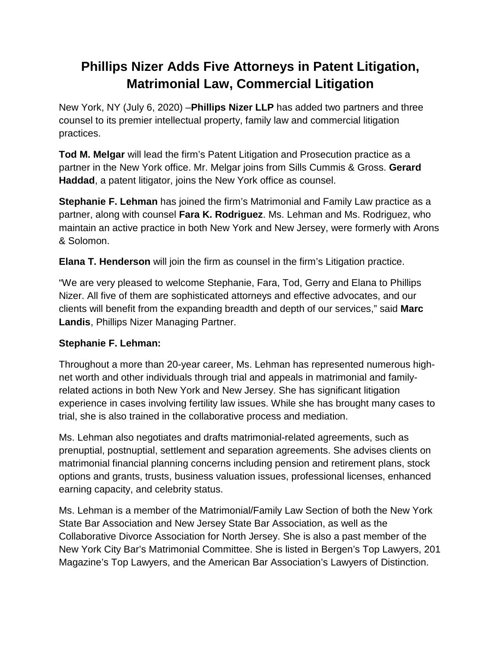# **Phillips Nizer Adds Five Attorneys in Patent Litigation, Matrimonial Law, Commercial Litigation**

New York, NY (July 6, 2020) –**Phillips Nizer LLP** has added two partners and three counsel to its premier intellectual property, family law and commercial litigation practices.

**Tod M. Melgar** will lead the firm's Patent Litigation and Prosecution practice as a partner in the New York office. Mr. Melgar joins from Sills Cummis & Gross. **Gerard Haddad**, a patent litigator, joins the New York office as counsel.

**Stephanie F. Lehman** has joined the firm's Matrimonial and Family Law practice as a partner, along with counsel **Fara K. Rodriguez**. Ms. Lehman and Ms. Rodriguez, who maintain an active practice in both New York and New Jersey, were formerly with Arons & Solomon.

**Elana T. Henderson** will join the firm as counsel in the firm's Litigation practice.

"We are very pleased to welcome Stephanie, Fara, Tod, Gerry and Elana to Phillips Nizer. All five of them are sophisticated attorneys and effective advocates, and our clients will benefit from the expanding breadth and depth of our services," said **Marc Landis**, Phillips Nizer Managing Partner.

## **Stephanie F. Lehman:**

Throughout a more than 20-year career, Ms. Lehman has represented numerous highnet worth and other individuals through trial and appeals in matrimonial and familyrelated actions in both New York and New Jersey. She has significant litigation experience in cases involving fertility law issues. While she has brought many cases to trial, she is also trained in the collaborative process and mediation.

Ms. Lehman also negotiates and drafts matrimonial-related agreements, such as prenuptial, postnuptial, settlement and separation agreements. She advises clients on matrimonial financial planning concerns including pension and retirement plans, stock options and grants, trusts, business valuation issues, professional licenses, enhanced earning capacity, and celebrity status.

Ms. Lehman is a member of the Matrimonial/Family Law Section of both the New York State Bar Association and New Jersey State Bar Association, as well as the Collaborative Divorce Association for North Jersey. She is also a past member of the New York City Bar's Matrimonial Committee. She is listed in Bergen's Top Lawyers, 201 Magazine's Top Lawyers, and the American Bar Association's Lawyers of Distinction.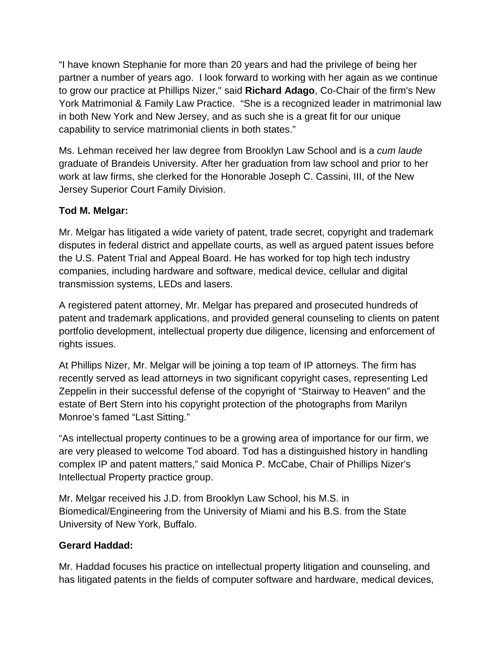"I have known Stephanie for more than 20 years and had the privilege of being her partner a number of years ago. I look forward to working with her again as we continue to grow our practice at Phillips Nizer," said **Richard Adago**, Co-Chair of the firm's New York Matrimonial & Family Law Practice. "She is a recognized leader in matrimonial law in both New York and New Jersey, and as such she is a great fit for our unique capability to service matrimonial clients in both states."

Ms. Lehman received her law degree from Brooklyn Law School and is a *cum laude* graduate of Brandeis University. After her graduation from law school and prior to her work at law firms, she clerked for the Honorable Joseph C. Cassini, III, of the New Jersey Superior Court Family Division.

## **Tod M. Melgar:**

Mr. Melgar has litigated a wide variety of patent, trade secret, copyright and trademark disputes in federal district and appellate courts, as well as argued patent issues before the U.S. Patent Trial and Appeal Board. He has worked for top high tech industry companies, including hardware and software, medical device, cellular and digital transmission systems, LEDs and lasers.

A registered patent attorney, Mr. Melgar has prepared and prosecuted hundreds of patent and trademark applications, and provided general counseling to clients on patent portfolio development, intellectual property due diligence, licensing and enforcement of rights issues.

At Phillips Nizer, Mr. Melgar will be joining a top team of IP attorneys. The firm has recently served as lead attorneys in two significant copyright cases, representing Led Zeppelin in their successful defense of the copyright of "Stairway to Heaven" and the estate of Bert Stern into his copyright protection of the photographs from Marilyn Monroe's famed "Last Sitting."

"As intellectual property continues to be a growing area of importance for our firm, we are very pleased to welcome Tod aboard. Tod has a distinguished history in handling complex IP and patent matters," said Monica P. McCabe, Chair of Phillips Nizer's Intellectual Property practice group.

Mr. Melgar received his J.D. from Brooklyn Law School, his M.S. in Biomedical/Engineering from the University of Miami and his B.S. from the State University of New York, Buffalo.

#### **Gerard Haddad:**

Mr. Haddad focuses his practice on intellectual property litigation and counseling, and has litigated patents in the fields of computer software and hardware, medical devices,